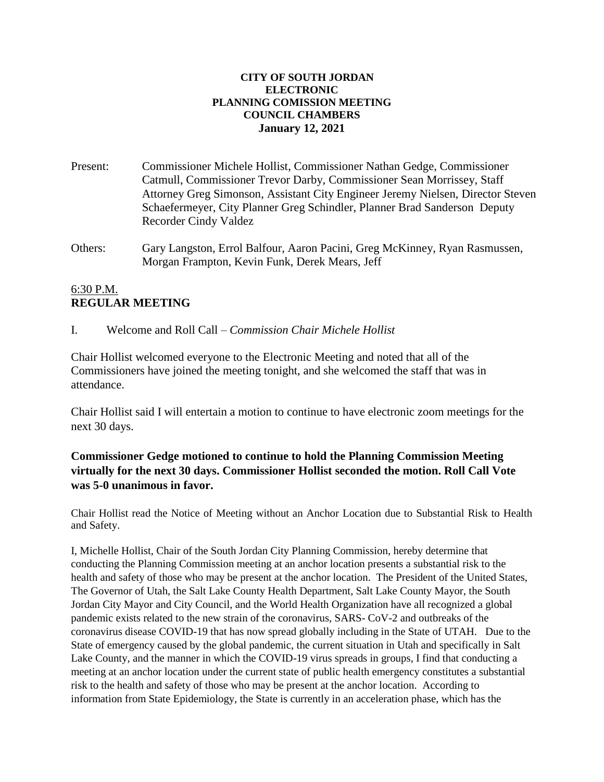### **CITY OF SOUTH JORDAN ELECTRONIC PLANNING COMISSION MEETING COUNCIL CHAMBERS January 12, 2021**

- Present: Commissioner Michele Hollist, Commissioner Nathan Gedge, Commissioner Catmull, Commissioner Trevor Darby, Commissioner Sean Morrissey, Staff Attorney Greg Simonson, Assistant City Engineer Jeremy Nielsen, Director Steven Schaefermeyer, City Planner Greg Schindler, Planner Brad Sanderson Deputy Recorder Cindy Valdez
- Others: Gary Langston, Errol Balfour, Aaron Pacini, Greg McKinney, Ryan Rasmussen, Morgan Frampton, Kevin Funk, Derek Mears, Jeff

# 6:30 P.M. **REGULAR MEETING**

I. Welcome and Roll Call – *Commission Chair Michele Hollist*

Chair Hollist welcomed everyone to the Electronic Meeting and noted that all of the Commissioners have joined the meeting tonight, and she welcomed the staff that was in attendance.

Chair Hollist said I will entertain a motion to continue to have electronic zoom meetings for the next 30 days.

# **Commissioner Gedge motioned to continue to hold the Planning Commission Meeting virtually for the next 30 days. Commissioner Hollist seconded the motion. Roll Call Vote was 5-0 unanimous in favor.**

Chair Hollist read the Notice of Meeting without an Anchor Location due to Substantial Risk to Health and Safety.

I, Michelle Hollist, Chair of the South Jordan City Planning Commission, hereby determine that conducting the Planning Commission meeting at an anchor location presents a substantial risk to the health and safety of those who may be present at the anchor location. The President of the United States, The Governor of Utah, the Salt Lake County Health Department, Salt Lake County Mayor, the South Jordan City Mayor and City Council, and the World Health Organization have all recognized a global pandemic exists related to the new strain of the coronavirus, SARS- CoV-2 and outbreaks of the coronavirus disease COVID-19 that has now spread globally including in the State of UTAH. Due to the State of emergency caused by the global pandemic, the current situation in Utah and specifically in Salt Lake County, and the manner in which the COVID-19 virus spreads in groups, I find that conducting a meeting at an anchor location under the current state of public health emergency constitutes a substantial risk to the health and safety of those who may be present at the anchor location. According to information from State Epidemiology, the State is currently in an acceleration phase, which has the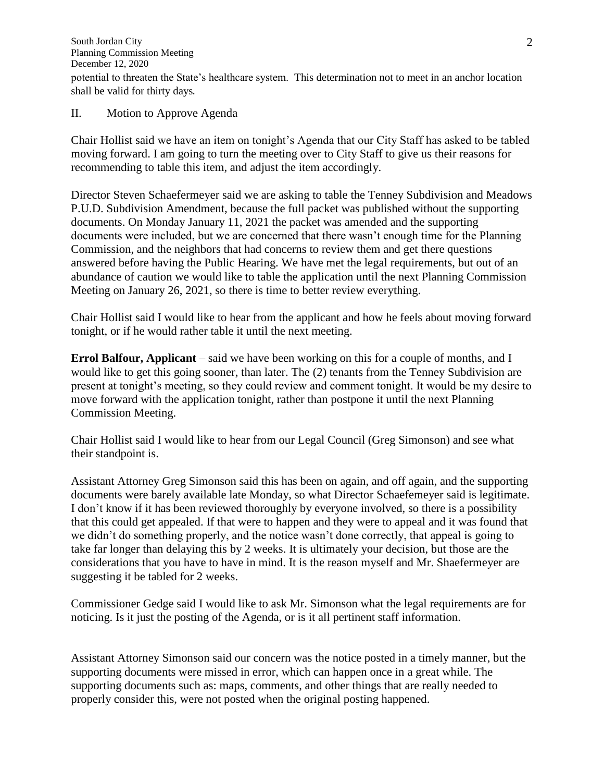South Jordan City Planning Commission Meeting December 12, 2020 potential to threaten the State's healthcare system. This determination not to meet in an anchor location shall be valid for thirty days.

II. Motion to Approve Agenda

Chair Hollist said we have an item on tonight's Agenda that our City Staff has asked to be tabled moving forward. I am going to turn the meeting over to City Staff to give us their reasons for recommending to table this item, and adjust the item accordingly.

Director Steven Schaefermeyer said we are asking to table the Tenney Subdivision and Meadows P.U.D. Subdivision Amendment, because the full packet was published without the supporting documents. On Monday January 11, 2021 the packet was amended and the supporting documents were included, but we are concerned that there wasn't enough time for the Planning Commission, and the neighbors that had concerns to review them and get there questions answered before having the Public Hearing. We have met the legal requirements, but out of an abundance of caution we would like to table the application until the next Planning Commission Meeting on January 26, 2021, so there is time to better review everything.

Chair Hollist said I would like to hear from the applicant and how he feels about moving forward tonight, or if he would rather table it until the next meeting.

**Errol Balfour, Applicant** – said we have been working on this for a couple of months, and I would like to get this going sooner, than later. The (2) tenants from the Tenney Subdivision are present at tonight's meeting, so they could review and comment tonight. It would be my desire to move forward with the application tonight, rather than postpone it until the next Planning Commission Meeting.

Chair Hollist said I would like to hear from our Legal Council (Greg Simonson) and see what their standpoint is.

Assistant Attorney Greg Simonson said this has been on again, and off again, and the supporting documents were barely available late Monday, so what Director Schaefemeyer said is legitimate. I don't know if it has been reviewed thoroughly by everyone involved, so there is a possibility that this could get appealed. If that were to happen and they were to appeal and it was found that we didn't do something properly, and the notice wasn't done correctly, that appeal is going to take far longer than delaying this by 2 weeks. It is ultimately your decision, but those are the considerations that you have to have in mind. It is the reason myself and Mr. Shaefermeyer are suggesting it be tabled for 2 weeks.

Commissioner Gedge said I would like to ask Mr. Simonson what the legal requirements are for noticing. Is it just the posting of the Agenda, or is it all pertinent staff information.

Assistant Attorney Simonson said our concern was the notice posted in a timely manner, but the supporting documents were missed in error, which can happen once in a great while. The supporting documents such as: maps, comments, and other things that are really needed to properly consider this, were not posted when the original posting happened.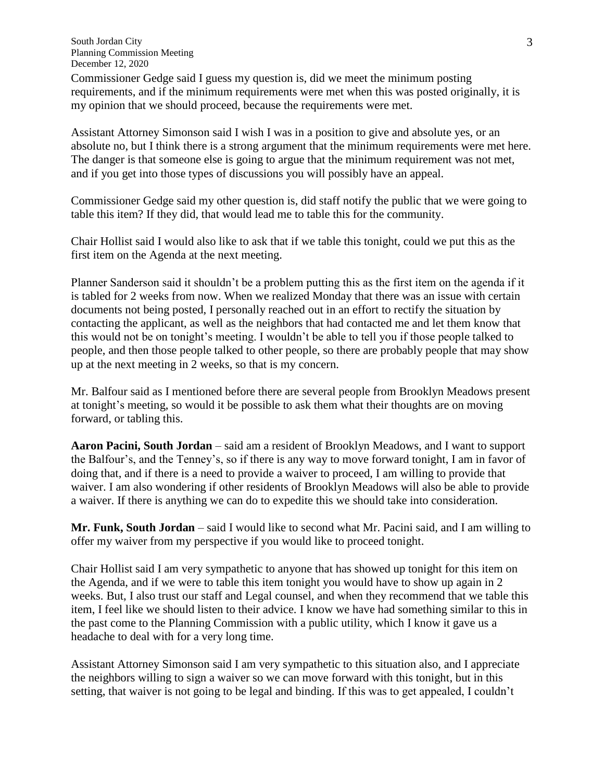South Jordan City Planning Commission Meeting December 12, 2020

Commissioner Gedge said I guess my question is, did we meet the minimum posting requirements, and if the minimum requirements were met when this was posted originally, it is my opinion that we should proceed, because the requirements were met.

Assistant Attorney Simonson said I wish I was in a position to give and absolute yes, or an absolute no, but I think there is a strong argument that the minimum requirements were met here. The danger is that someone else is going to argue that the minimum requirement was not met, and if you get into those types of discussions you will possibly have an appeal.

Commissioner Gedge said my other question is, did staff notify the public that we were going to table this item? If they did, that would lead me to table this for the community.

Chair Hollist said I would also like to ask that if we table this tonight, could we put this as the first item on the Agenda at the next meeting.

Planner Sanderson said it shouldn't be a problem putting this as the first item on the agenda if it is tabled for 2 weeks from now. When we realized Monday that there was an issue with certain documents not being posted, I personally reached out in an effort to rectify the situation by contacting the applicant, as well as the neighbors that had contacted me and let them know that this would not be on tonight's meeting. I wouldn't be able to tell you if those people talked to people, and then those people talked to other people, so there are probably people that may show up at the next meeting in 2 weeks, so that is my concern.

Mr. Balfour said as I mentioned before there are several people from Brooklyn Meadows present at tonight's meeting, so would it be possible to ask them what their thoughts are on moving forward, or tabling this.

**Aaron Pacini, South Jordan** – said am a resident of Brooklyn Meadows, and I want to support the Balfour's, and the Tenney's, so if there is any way to move forward tonight, I am in favor of doing that, and if there is a need to provide a waiver to proceed, I am willing to provide that waiver. I am also wondering if other residents of Brooklyn Meadows will also be able to provide a waiver. If there is anything we can do to expedite this we should take into consideration.

**Mr. Funk, South Jordan** – said I would like to second what Mr. Pacini said, and I am willing to offer my waiver from my perspective if you would like to proceed tonight.

Chair Hollist said I am very sympathetic to anyone that has showed up tonight for this item on the Agenda, and if we were to table this item tonight you would have to show up again in 2 weeks. But, I also trust our staff and Legal counsel, and when they recommend that we table this item, I feel like we should listen to their advice. I know we have had something similar to this in the past come to the Planning Commission with a public utility, which I know it gave us a headache to deal with for a very long time.

Assistant Attorney Simonson said I am very sympathetic to this situation also, and I appreciate the neighbors willing to sign a waiver so we can move forward with this tonight, but in this setting, that waiver is not going to be legal and binding. If this was to get appealed, I couldn't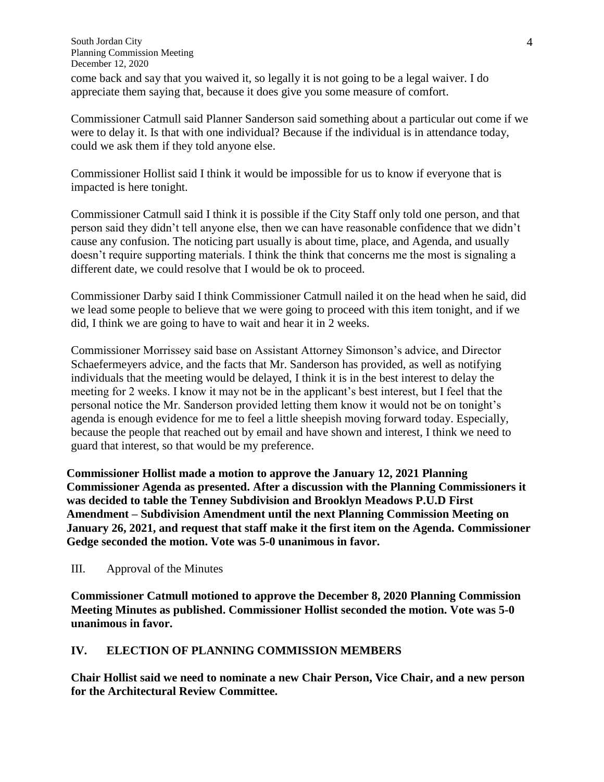come back and say that you waived it, so legally it is not going to be a legal waiver. I do appreciate them saying that, because it does give you some measure of comfort.

Commissioner Catmull said Planner Sanderson said something about a particular out come if we were to delay it. Is that with one individual? Because if the individual is in attendance today, could we ask them if they told anyone else.

Commissioner Hollist said I think it would be impossible for us to know if everyone that is impacted is here tonight.

Commissioner Catmull said I think it is possible if the City Staff only told one person, and that person said they didn't tell anyone else, then we can have reasonable confidence that we didn't cause any confusion. The noticing part usually is about time, place, and Agenda, and usually doesn't require supporting materials. I think the think that concerns me the most is signaling a different date, we could resolve that I would be ok to proceed.

Commissioner Darby said I think Commissioner Catmull nailed it on the head when he said, did we lead some people to believe that we were going to proceed with this item tonight, and if we did, I think we are going to have to wait and hear it in 2 weeks.

Commissioner Morrissey said base on Assistant Attorney Simonson's advice, and Director Schaefermeyers advice, and the facts that Mr. Sanderson has provided, as well as notifying individuals that the meeting would be delayed, I think it is in the best interest to delay the meeting for 2 weeks. I know it may not be in the applicant's best interest, but I feel that the personal notice the Mr. Sanderson provided letting them know it would not be on tonight's agenda is enough evidence for me to feel a little sheepish moving forward today. Especially, because the people that reached out by email and have shown and interest, I think we need to guard that interest, so that would be my preference.

**Commissioner Hollist made a motion to approve the January 12, 2021 Planning Commissioner Agenda as presented. After a discussion with the Planning Commissioners it was decided to table the Tenney Subdivision and Brooklyn Meadows P.U.D First Amendment – Subdivision Amendment until the next Planning Commission Meeting on January 26, 2021, and request that staff make it the first item on the Agenda. Commissioner Gedge seconded the motion. Vote was 5-0 unanimous in favor.**

III. Approval of the Minutes

**Commissioner Catmull motioned to approve the December 8, 2020 Planning Commission Meeting Minutes as published. Commissioner Hollist seconded the motion. Vote was 5-0 unanimous in favor.**

# **IV. ELECTION OF PLANNING COMMISSION MEMBERS**

**Chair Hollist said we need to nominate a new Chair Person, Vice Chair, and a new person for the Architectural Review Committee.**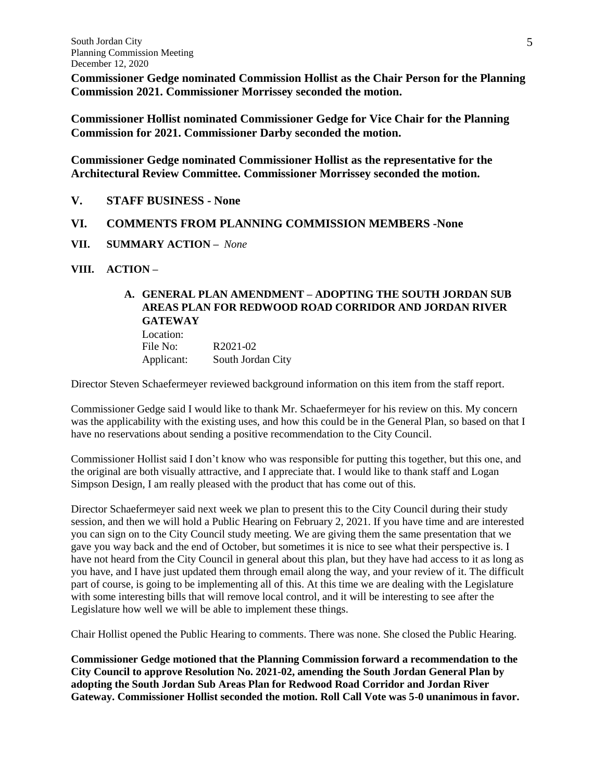**Commissioner Gedge nominated Commission Hollist as the Chair Person for the Planning Commission 2021. Commissioner Morrissey seconded the motion.**

**Commissioner Hollist nominated Commissioner Gedge for Vice Chair for the Planning Commission for 2021. Commissioner Darby seconded the motion.**

**Commissioner Gedge nominated Commissioner Hollist as the representative for the Architectural Review Committee. Commissioner Morrissey seconded the motion.**

**V. STAFF BUSINESS - None**

### **VI. COMMENTS FROM PLANNING COMMISSION MEMBERS -None**

- **VII. SUMMARY ACTION –** *None*
- **VIII. ACTION –**

# **A. GENERAL PLAN AMENDMENT – ADOPTING THE SOUTH JORDAN SUB AREAS PLAN FOR REDWOOD ROAD CORRIDOR AND JORDAN RIVER GATEWAY**

Location: File No: R2021-02 Applicant: South Jordan City

Director Steven Schaefermeyer reviewed background information on this item from the staff report.

Commissioner Gedge said I would like to thank Mr. Schaefermeyer for his review on this. My concern was the applicability with the existing uses, and how this could be in the General Plan, so based on that I have no reservations about sending a positive recommendation to the City Council.

Commissioner Hollist said I don't know who was responsible for putting this together, but this one, and the original are both visually attractive, and I appreciate that. I would like to thank staff and Logan Simpson Design, I am really pleased with the product that has come out of this.

Director Schaefermeyer said next week we plan to present this to the City Council during their study session, and then we will hold a Public Hearing on February 2, 2021. If you have time and are interested you can sign on to the City Council study meeting. We are giving them the same presentation that we gave you way back and the end of October, but sometimes it is nice to see what their perspective is. I have not heard from the City Council in general about this plan, but they have had access to it as long as you have, and I have just updated them through email along the way, and your review of it. The difficult part of course, is going to be implementing all of this. At this time we are dealing with the Legislature with some interesting bills that will remove local control, and it will be interesting to see after the Legislature how well we will be able to implement these things.

Chair Hollist opened the Public Hearing to comments. There was none. She closed the Public Hearing.

**Commissioner Gedge motioned that the Planning Commission forward a recommendation to the City Council to approve Resolution No. 2021-02, amending the South Jordan General Plan by adopting the South Jordan Sub Areas Plan for Redwood Road Corridor and Jordan River Gateway. Commissioner Hollist seconded the motion. Roll Call Vote was 5-0 unanimous in favor.**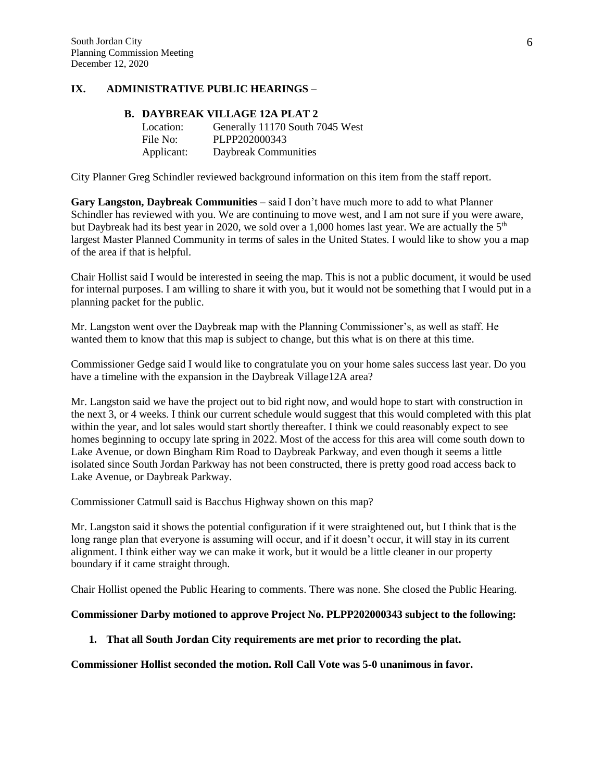### **IX. ADMINISTRATIVE PUBLIC HEARINGS –**

# **B. DAYBREAK VILLAGE 12A PLAT 2**

| Location:  | Generally 11170 South 7045 West |
|------------|---------------------------------|
| File No:   | PLPP202000343                   |
| Applicant: | Daybreak Communities            |

City Planner Greg Schindler reviewed background information on this item from the staff report.

**Gary Langston, Daybreak Communities** – said I don't have much more to add to what Planner Schindler has reviewed with you. We are continuing to move west, and I am not sure if you were aware, but Daybreak had its best year in 2020, we sold over a 1,000 homes last year. We are actually the  $5<sup>th</sup>$ largest Master Planned Community in terms of sales in the United States. I would like to show you a map of the area if that is helpful.

Chair Hollist said I would be interested in seeing the map. This is not a public document, it would be used for internal purposes. I am willing to share it with you, but it would not be something that I would put in a planning packet for the public.

Mr. Langston went over the Daybreak map with the Planning Commissioner's, as well as staff. He wanted them to know that this map is subject to change, but this what is on there at this time.

Commissioner Gedge said I would like to congratulate you on your home sales success last year. Do you have a timeline with the expansion in the Daybreak Village12A area?

Mr. Langston said we have the project out to bid right now, and would hope to start with construction in the next 3, or 4 weeks. I think our current schedule would suggest that this would completed with this plat within the year, and lot sales would start shortly thereafter. I think we could reasonably expect to see homes beginning to occupy late spring in 2022. Most of the access for this area will come south down to Lake Avenue, or down Bingham Rim Road to Daybreak Parkway, and even though it seems a little isolated since South Jordan Parkway has not been constructed, there is pretty good road access back to Lake Avenue, or Daybreak Parkway.

Commissioner Catmull said is Bacchus Highway shown on this map?

Mr. Langston said it shows the potential configuration if it were straightened out, but I think that is the long range plan that everyone is assuming will occur, and if it doesn't occur, it will stay in its current alignment. I think either way we can make it work, but it would be a little cleaner in our property boundary if it came straight through.

Chair Hollist opened the Public Hearing to comments. There was none. She closed the Public Hearing.

#### **Commissioner Darby motioned to approve Project No. PLPP202000343 subject to the following:**

#### **1. That all South Jordan City requirements are met prior to recording the plat.**

**Commissioner Hollist seconded the motion. Roll Call Vote was 5-0 unanimous in favor.**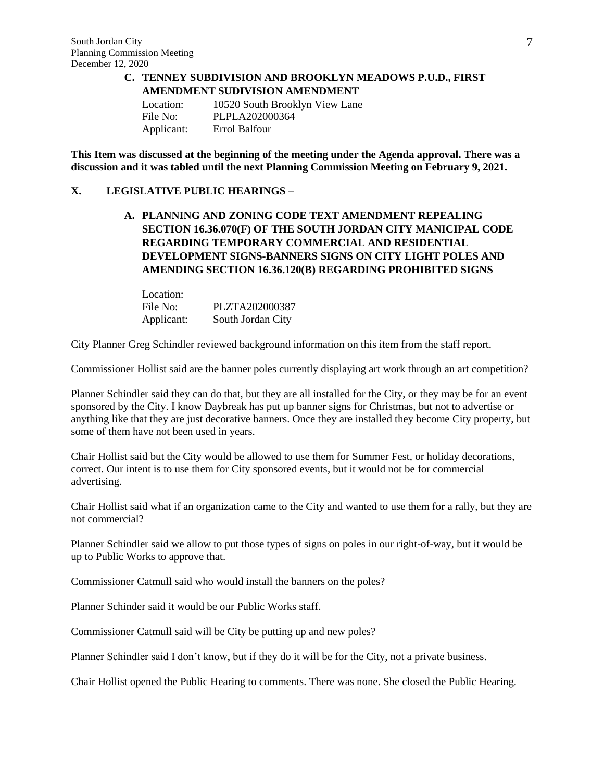#### **C. TENNEY SUBDIVISION AND BROOKLYN MEADOWS P.U.D., FIRST AMENDMENT SUDIVISION AMENDMENT**

| Location:  | 10520 South Brooklyn View Lane |
|------------|--------------------------------|
| File No:   | PLPLA202000364                 |
| Applicant: | Errol Balfour                  |

**This Item was discussed at the beginning of the meeting under the Agenda approval. There was a discussion and it was tabled until the next Planning Commission Meeting on February 9, 2021.** 

#### **X. LEGISLATIVE PUBLIC HEARINGS –**

**A. PLANNING AND ZONING CODE TEXT AMENDMENT REPEALING SECTION 16.36.070(F) OF THE SOUTH JORDAN CITY MANICIPAL CODE REGARDING TEMPORARY COMMERCIAL AND RESIDENTIAL DEVELOPMENT SIGNS-BANNERS SIGNS ON CITY LIGHT POLES AND AMENDING SECTION 16.36.120(B) REGARDING PROHIBITED SIGNS**

| Location:  |                   |
|------------|-------------------|
| File No:   | PLZTA202000387    |
| Applicant: | South Jordan City |

City Planner Greg Schindler reviewed background information on this item from the staff report.

Commissioner Hollist said are the banner poles currently displaying art work through an art competition?

Planner Schindler said they can do that, but they are all installed for the City, or they may be for an event sponsored by the City. I know Daybreak has put up banner signs for Christmas, but not to advertise or anything like that they are just decorative banners. Once they are installed they become City property, but some of them have not been used in years.

Chair Hollist said but the City would be allowed to use them for Summer Fest, or holiday decorations, correct. Our intent is to use them for City sponsored events, but it would not be for commercial advertising.

Chair Hollist said what if an organization came to the City and wanted to use them for a rally, but they are not commercial?

Planner Schindler said we allow to put those types of signs on poles in our right-of-way, but it would be up to Public Works to approve that.

Commissioner Catmull said who would install the banners on the poles?

Planner Schinder said it would be our Public Works staff.

Commissioner Catmull said will be City be putting up and new poles?

Planner Schindler said I don't know, but if they do it will be for the City, not a private business.

Chair Hollist opened the Public Hearing to comments. There was none. She closed the Public Hearing.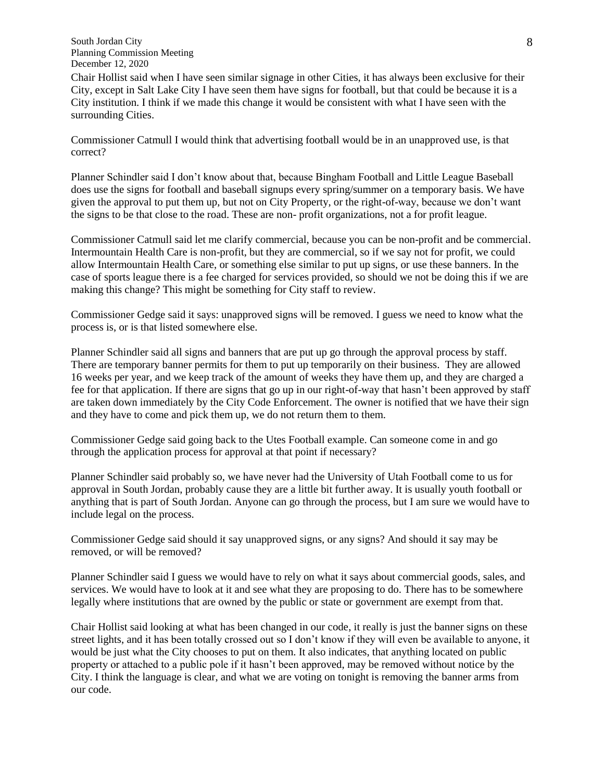South Jordan City Planning Commission Meeting December 12, 2020

Chair Hollist said when I have seen similar signage in other Cities, it has always been exclusive for their City, except in Salt Lake City I have seen them have signs for football, but that could be because it is a City institution. I think if we made this change it would be consistent with what I have seen with the surrounding Cities.

Commissioner Catmull I would think that advertising football would be in an unapproved use, is that correct?

Planner Schindler said I don't know about that, because Bingham Football and Little League Baseball does use the signs for football and baseball signups every spring/summer on a temporary basis. We have given the approval to put them up, but not on City Property, or the right-of-way, because we don't want the signs to be that close to the road. These are non- profit organizations, not a for profit league.

Commissioner Catmull said let me clarify commercial, because you can be non-profit and be commercial. Intermountain Health Care is non-profit, but they are commercial, so if we say not for profit, we could allow Intermountain Health Care, or something else similar to put up signs, or use these banners. In the case of sports league there is a fee charged for services provided, so should we not be doing this if we are making this change? This might be something for City staff to review.

Commissioner Gedge said it says: unapproved signs will be removed. I guess we need to know what the process is, or is that listed somewhere else.

Planner Schindler said all signs and banners that are put up go through the approval process by staff. There are temporary banner permits for them to put up temporarily on their business. They are allowed 16 weeks per year, and we keep track of the amount of weeks they have them up, and they are charged a fee for that application. If there are signs that go up in our right-of-way that hasn't been approved by staff are taken down immediately by the City Code Enforcement. The owner is notified that we have their sign and they have to come and pick them up, we do not return them to them.

Commissioner Gedge said going back to the Utes Football example. Can someone come in and go through the application process for approval at that point if necessary?

Planner Schindler said probably so, we have never had the University of Utah Football come to us for approval in South Jordan, probably cause they are a little bit further away. It is usually youth football or anything that is part of South Jordan. Anyone can go through the process, but I am sure we would have to include legal on the process.

Commissioner Gedge said should it say unapproved signs, or any signs? And should it say may be removed, or will be removed?

Planner Schindler said I guess we would have to rely on what it says about commercial goods, sales, and services. We would have to look at it and see what they are proposing to do. There has to be somewhere legally where institutions that are owned by the public or state or government are exempt from that.

Chair Hollist said looking at what has been changed in our code, it really is just the banner signs on these street lights, and it has been totally crossed out so I don't know if they will even be available to anyone, it would be just what the City chooses to put on them. It also indicates, that anything located on public property or attached to a public pole if it hasn't been approved, may be removed without notice by the City. I think the language is clear, and what we are voting on tonight is removing the banner arms from our code.